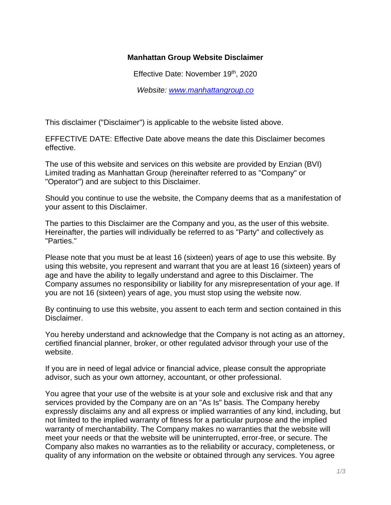## **Manhattan Group Website Disclaimer**

Effective Date: November 19<sup>th</sup>, 2020

*Website: [www.manhattangroup.co](http://www.manhattangroup.co/)*

This disclaimer ("Disclaimer") is applicable to the website listed above.

EFFECTIVE DATE: Effective Date above means the date this Disclaimer becomes effective.

The use of this website and services on this website are provided by Enzian (BVI) Limited trading as Manhattan Group (hereinafter referred to as "Company" or "Operator") and are subject to this Disclaimer.

Should you continue to use the website, the Company deems that as a manifestation of your assent to this Disclaimer.

The parties to this Disclaimer are the Company and you, as the user of this website. Hereinafter, the parties will individually be referred to as "Party" and collectively as "Parties."

Please note that you must be at least 16 (sixteen) years of age to use this website. By using this website, you represent and warrant that you are at least 16 (sixteen) years of age and have the ability to legally understand and agree to this Disclaimer. The Company assumes no responsibility or liability for any misrepresentation of your age. If you are not 16 (sixteen) years of age, you must stop using the website now.

By continuing to use this website, you assent to each term and section contained in this Disclaimer.

You hereby understand and acknowledge that the Company is not acting as an attorney, certified financial planner, broker, or other regulated advisor through your use of the website.

If you are in need of legal advice or financial advice, please consult the appropriate advisor, such as your own attorney, accountant, or other professional.

You agree that your use of the website is at your sole and exclusive risk and that any services provided by the Company are on an "As Is" basis. The Company hereby expressly disclaims any and all express or implied warranties of any kind, including, but not limited to the implied warranty of fitness for a particular purpose and the implied warranty of merchantability. The Company makes no warranties that the website will meet your needs or that the website will be uninterrupted, error-free, or secure. The Company also makes no warranties as to the reliability or accuracy, completeness, or quality of any information on the website or obtained through any services. You agree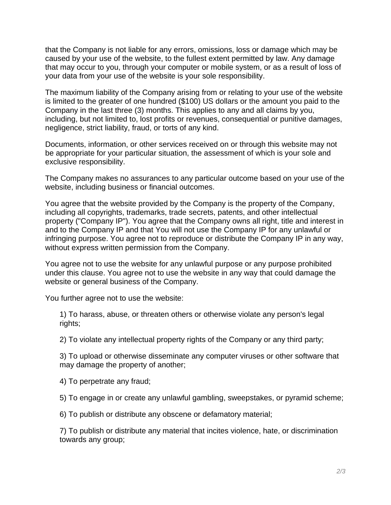that the Company is not liable for any errors, omissions, loss or damage which may be caused by your use of the website, to the fullest extent permitted by law. Any damage that may occur to you, through your computer or mobile system, or as a result of loss of your data from your use of the website is your sole responsibility.

The maximum liability of the Company arising from or relating to your use of the website is limited to the greater of one hundred (\$100) US dollars or the amount you paid to the Company in the last three (3) months. This applies to any and all claims by you, including, but not limited to, lost profits or revenues, consequential or punitive damages, negligence, strict liability, fraud, or torts of any kind.

Documents, information, or other services received on or through this website may not be appropriate for your particular situation, the assessment of which is your sole and exclusive responsibility.

The Company makes no assurances to any particular outcome based on your use of the website, including business or financial outcomes.

You agree that the website provided by the Company is the property of the Company, including all copyrights, trademarks, trade secrets, patents, and other intellectual property ("Company IP"). You agree that the Company owns all right, title and interest in and to the Company IP and that You will not use the Company IP for any unlawful or infringing purpose. You agree not to reproduce or distribute the Company IP in any way, without express written permission from the Company.

You agree not to use the website for any unlawful purpose or any purpose prohibited under this clause. You agree not to use the website in any way that could damage the website or general business of the Company.

You further agree not to use the website:

1) To harass, abuse, or threaten others or otherwise violate any person's legal rights;

2) To violate any intellectual property rights of the Company or any third party;

3) To upload or otherwise disseminate any computer viruses or other software that may damage the property of another;

4) To perpetrate any fraud;

5) To engage in or create any unlawful gambling, sweepstakes, or pyramid scheme;

6) To publish or distribute any obscene or defamatory material;

7) To publish or distribute any material that incites violence, hate, or discrimination towards any group;